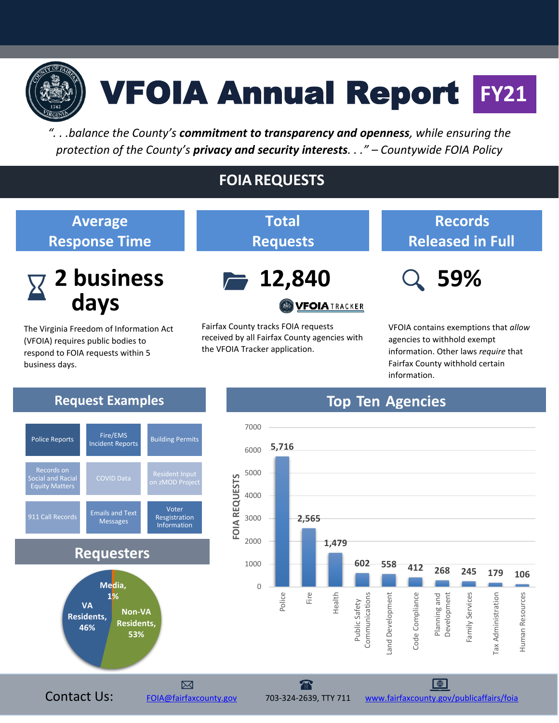

# VFOIA Annual Report **FY21**

*". . .balance the County's commitment to transparency and openness, while ensuring the protection of the County's privacy and security interests. . ." – Countywide FOIA Policy*

**Total**

**Requests**

## **FOIAREQUESTS**

#### **Average Response Time**



The Virginia Freedom of Information Act (VFOIA) requires public bodies to respond to FOIA requests within 5 business days.



**WFOIATRACKER** 

Fairfax County tracks FOIA requests received by all Fairfax County agencies with the VFOIA Tracker application.

## **Records Released in Full**

 **59%**

VFOIA contains exemptions that *allow*  agencies to withhold exempt information. Other laws *require* that Fairfax County withhold certain information.